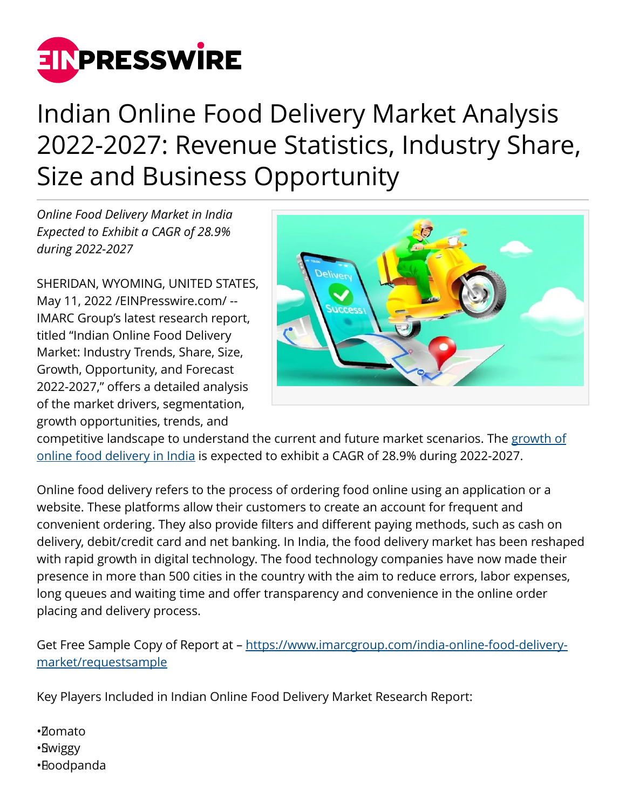

## Indian Online Food Delivery Market Analysis 2022-2027: Revenue Statistics, Industry Share, Size and Business Opportunity

*Online Food Delivery Market in India Expected to Exhibit a CAGR of 28.9% during 2022-2027*

SHERIDAN, WYOMING, UNITED STATES, May 11, 2022 [/EINPresswire.com](http://www.einpresswire.com)/ -- IMARC Group's latest research report, titled "Indian Online Food Delivery Market: Industry Trends, Share, Size, Growth, Opportunity, and Forecast 2022-2027," offers a detailed analysis of the market drivers, segmentation, growth opportunities, trends, and



competitive landscape to understand the current and future market scenarios. The [growth of](https://www.imarcgroup.com/india-online-food-delivery-market) [online food delivery in India](https://www.imarcgroup.com/india-online-food-delivery-market) is expected to exhibit a CAGR of 28.9% during 2022-2027.

Online food delivery refers to the process of ordering food online using an application or a website. These platforms allow their customers to create an account for frequent and convenient ordering. They also provide filters and different paying methods, such as cash on delivery, debit/credit card and net banking. In India, the food delivery market has been reshaped with rapid growth in digital technology. The food technology companies have now made their presence in more than 500 cities in the country with the aim to reduce errors, labor expenses, long queues and waiting time and offer transparency and convenience in the online order placing and delivery process.

Get Free Sample Copy of Report at - [https://www.imarcgroup.com/india-online-food-delivery](https://www.imarcgroup.com/india-online-food-delivery-market/requestsample)[market/requestsample](https://www.imarcgroup.com/india-online-food-delivery-market/requestsample)

Key Players Included in Indian Online Food Delivery Market Research Report:

- • Zomato
- • Swiggy
- • Foodpanda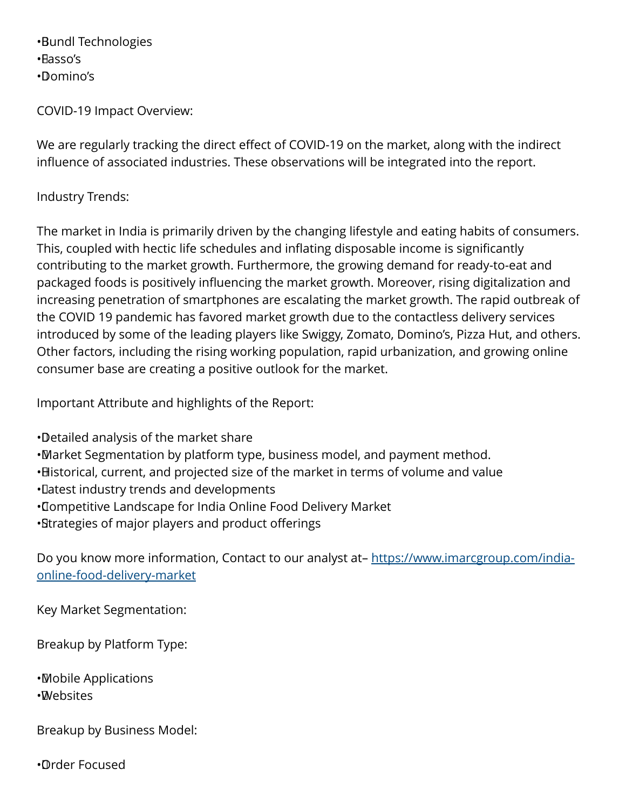• Bundl Technologies • Fasso's • Domino's

COVID-19 Impact Overview:

We are regularly tracking the direct effect of COVID-19 on the market, along with the indirect influence of associated industries. These observations will be integrated into the report.

## Industry Trends:

The market in India is primarily driven by the changing lifestyle and eating habits of consumers. This, coupled with hectic life schedules and inflating disposable income is significantly contributing to the market growth. Furthermore, the growing demand for ready-to-eat and packaged foods is positively influencing the market growth. Moreover, rising digitalization and increasing penetration of smartphones are escalating the market growth. The rapid outbreak of the COVID 19 pandemic has favored market growth due to the contactless delivery services introduced by some of the leading players like Swiggy, Zomato, Domino's, Pizza Hut, and others. Other factors, including the rising working population, rapid urbanization, and growing online consumer base are creating a positive outlook for the market.

Important Attribute and highlights of the Report:

• Detailed analysis of the market share

- • Market Segmentation by platform type, business model, and payment method.
- Historical, current, and projected size of the market in terms of volume and value
- • Latest industry trends and developments
- • Competitive Landscape for India Online Food Delivery Market
- • Strategies of major players and product offerings

Do you know more information, Contact to our analyst at– [https://www.imarcgroup.com/india](https://www.imarcgroup.com/india-online-food-delivery-market)[online-food-delivery-market](https://www.imarcgroup.com/india-online-food-delivery-market)

Key Market Segmentation:

Breakup by Platform Type:

• Mobile Applications • Websites

Breakup by Business Model:

• Order Focused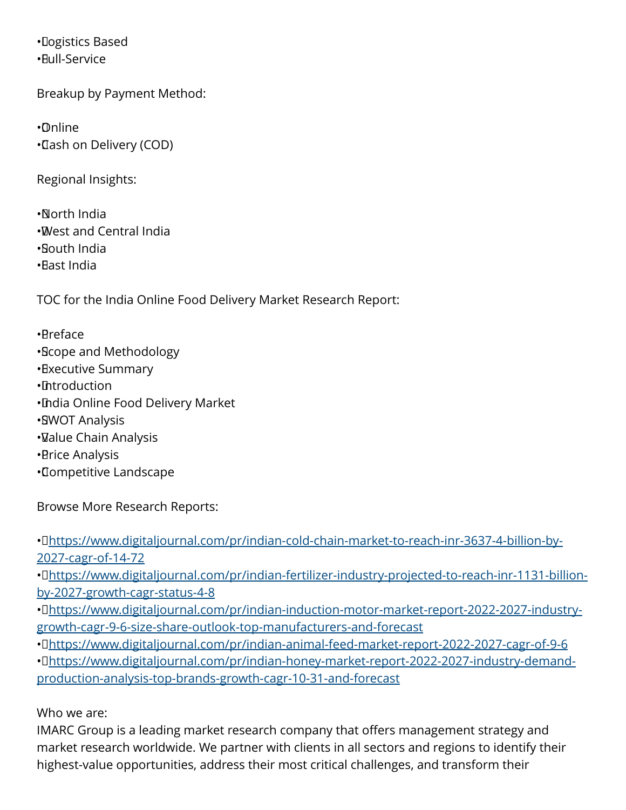• Logistics Based • Full-Service

Breakup by Payment Method:

• Online • Cash on Delivery (COD)

Regional Insights:

• North India

- • West and Central India
- • South India
- • East India

TOC for the India Online Food Delivery Market Research Report:

• Preface

- • Scope and Methodology
- • Executive Summary
- • Introduction
- • India Online Food Delivery Market
- • SWOT Analysis
- • Value Chain Analysis
- • Price Analysis
- • Competitive Landscape

Browse More Research Reports:

• D[https://www.digitaljournal.com/pr/indian-cold-chain-market-to-reach-inr-3637-4-billion-by-](https://www.digitaljournal.com/pr/indian-cold-chain-market-to-reach-inr-3637-4-billion-by-2027-cagr-of-14-72)[2027-cagr-of-14-72](https://www.digitaljournal.com/pr/indian-cold-chain-market-to-reach-inr-3637-4-billion-by-2027-cagr-of-14-72)

· D[https://www.digitaljournal.com/pr/indian-fertilizer-industry-projected-to-reach-inr-1131-billion](https://www.digitaljournal.com/pr/indian-fertilizer-industry-projected-to-reach-inr-1131-billion-by-2027-growth-cagr-status-4-8)[by-2027-growth-cagr-status-4-8](https://www.digitaljournal.com/pr/indian-fertilizer-industry-projected-to-reach-inr-1131-billion-by-2027-growth-cagr-status-4-8)

• D[https://www.digitaljournal.com/pr/indian-induction-motor-market-report-2022-2027-industry](https://www.digitaljournal.com/pr/indian-induction-motor-market-report-2022-2027-industry-growth-cagr-9-6-size-share-outlook-top-manufacturers-and-forecast)[growth-cagr-9-6-size-share-outlook-top-manufacturers-and-forecast](https://www.digitaljournal.com/pr/indian-induction-motor-market-report-2022-2027-industry-growth-cagr-9-6-size-share-outlook-top-manufacturers-and-forecast)

• C<https://www.digitaljournal.com/pr/indian-animal-feed-market-report-2022-2027-cagr-of-9-6>

• O[https://www.digitaljournal.com/pr/indian-honey-market-report-2022-2027-industry-demand](https://www.digitaljournal.com/pr/indian-honey-market-report-2022-2027-industry-demand-production-analysis-top-brands-growth-cagr-10-31-and-forecast)[production-analysis-top-brands-growth-cagr-10-31-and-forecast](https://www.digitaljournal.com/pr/indian-honey-market-report-2022-2027-industry-demand-production-analysis-top-brands-growth-cagr-10-31-and-forecast)

Who we are:

IMARC Group is a leading market research company that offers management strategy and market research worldwide. We partner with clients in all sectors and regions to identify their highest-value opportunities, address their most critical challenges, and transform their